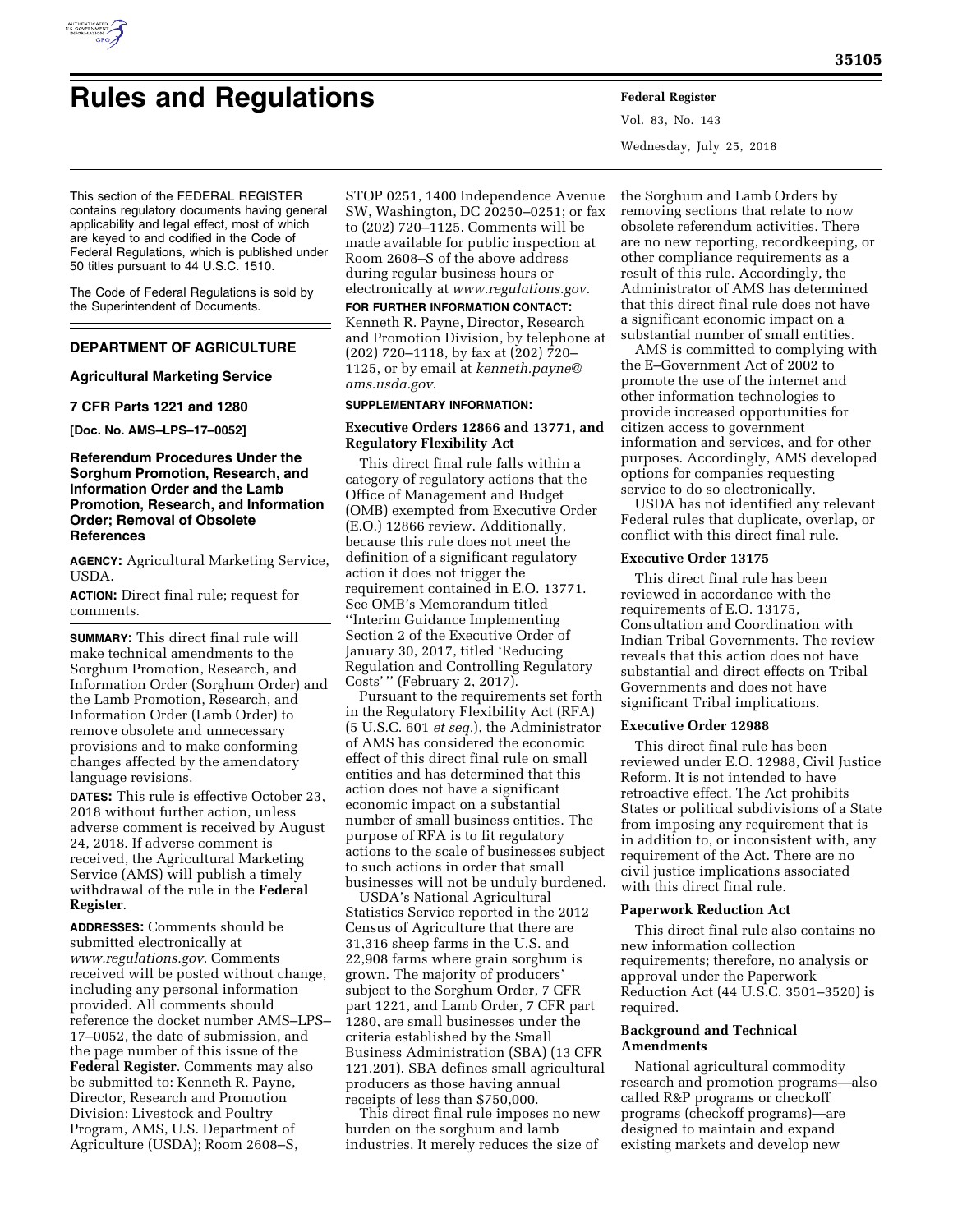

# **Rules and Regulations Federal Register**

Vol. 83, No. 143 Wednesday, July 25, 2018

This section of the FEDERAL REGISTER contains regulatory documents having general applicability and legal effect, most of which are keyed to and codified in the Code of Federal Regulations, which is published under 50 titles pursuant to 44 U.S.C. 1510.

The Code of Federal Regulations is sold by the Superintendent of Documents.

## **DEPARTMENT OF AGRICULTURE**

## **Agricultural Marketing Service**

## **7 CFR Parts 1221 and 1280**

**[Doc. No. AMS–LPS–17–0052]** 

## **Referendum Procedures Under the Sorghum Promotion, Research, and Information Order and the Lamb Promotion, Research, and Information Order; Removal of Obsolete References**

**AGENCY:** Agricultural Marketing Service, USDA.

**ACTION:** Direct final rule; request for comments.

**SUMMARY:** This direct final rule will make technical amendments to the Sorghum Promotion, Research, and Information Order (Sorghum Order) and the Lamb Promotion, Research, and Information Order (Lamb Order) to remove obsolete and unnecessary provisions and to make conforming changes affected by the amendatory language revisions.

**DATES:** This rule is effective October 23, 2018 without further action, unless adverse comment is received by August 24, 2018. If adverse comment is received, the Agricultural Marketing Service (AMS) will publish a timely withdrawal of the rule in the **Federal Register**.

**ADDRESSES:** Comments should be submitted electronically at *[www.regulations.gov](http://www.regulations.gov)*. Comments received will be posted without change, including any personal information provided. All comments should reference the docket number AMS–LPS– 17–0052, the date of submission, and the page number of this issue of the **Federal Register**. Comments may also be submitted to: Kenneth R. Payne, Director, Research and Promotion Division; Livestock and Poultry Program, AMS, U.S. Department of Agriculture (USDA); Room 2608–S,

STOP 0251, 1400 Independence Avenue SW, Washington, DC 20250–0251; or fax to (202) 720–1125. Comments will be made available for public inspection at Room 2608–S of the above address during regular business hours or electronically at *[www.regulations.gov.](http://www.regulations.gov)* 

**FOR FURTHER INFORMATION CONTACT:**  Kenneth R. Payne, Director, Research and Promotion Division, by telephone at (202) 720–1118, by fax at (202) 720– 1125, or by email at *[kenneth.payne@](mailto:kenneth.payne@ams.usda.gov) [ams.usda.gov](mailto:kenneth.payne@ams.usda.gov)*.

## **SUPPLEMENTARY INFORMATION:**

## **Executive Orders 12866 and 13771, and Regulatory Flexibility Act**

This direct final rule falls within a category of regulatory actions that the Office of Management and Budget (OMB) exempted from Executive Order (E.O.) 12866 review. Additionally, because this rule does not meet the definition of a significant regulatory action it does not trigger the requirement contained in E.O. 13771. See OMB's Memorandum titled ''Interim Guidance Implementing Section 2 of the Executive Order of January 30, 2017, titled 'Reducing Regulation and Controlling Regulatory Costs' '' (February 2, 2017).

Pursuant to the requirements set forth in the Regulatory Flexibility Act (RFA) (5 U.S.C. 601 *et seq.*), the Administrator of AMS has considered the economic effect of this direct final rule on small entities and has determined that this action does not have a significant economic impact on a substantial number of small business entities. The purpose of RFA is to fit regulatory actions to the scale of businesses subject to such actions in order that small businesses will not be unduly burdened.

USDA's National Agricultural Statistics Service reported in the 2012 Census of Agriculture that there are 31,316 sheep farms in the U.S. and 22,908 farms where grain sorghum is grown. The majority of producers' subject to the Sorghum Order, 7 CFR part 1221, and Lamb Order, 7 CFR part 1280, are small businesses under the criteria established by the Small Business Administration (SBA) (13 CFR 121.201). SBA defines small agricultural producers as those having annual receipts of less than \$750,000.

This direct final rule imposes no new burden on the sorghum and lamb industries. It merely reduces the size of

the Sorghum and Lamb Orders by removing sections that relate to now obsolete referendum activities. There are no new reporting, recordkeeping, or other compliance requirements as a result of this rule. Accordingly, the Administrator of AMS has determined that this direct final rule does not have a significant economic impact on a substantial number of small entities.

AMS is committed to complying with the E–Government Act of 2002 to promote the use of the internet and other information technologies to provide increased opportunities for citizen access to government information and services, and for other purposes. Accordingly, AMS developed options for companies requesting service to do so electronically.

USDA has not identified any relevant Federal rules that duplicate, overlap, or conflict with this direct final rule.

### **Executive Order 13175**

This direct final rule has been reviewed in accordance with the requirements of E.O. 13175, Consultation and Coordination with Indian Tribal Governments. The review reveals that this action does not have substantial and direct effects on Tribal Governments and does not have significant Tribal implications.

## **Executive Order 12988**

This direct final rule has been reviewed under E.O. 12988, Civil Justice Reform. It is not intended to have retroactive effect. The Act prohibits States or political subdivisions of a State from imposing any requirement that is in addition to, or inconsistent with, any requirement of the Act. There are no civil justice implications associated with this direct final rule.

#### **Paperwork Reduction Act**

This direct final rule also contains no new information collection requirements; therefore, no analysis or approval under the Paperwork Reduction Act (44 U.S.C. 3501–3520) is required.

### **Background and Technical Amendments**

National agricultural commodity research and promotion programs—also called R&P programs or checkoff programs (checkoff programs)—are designed to maintain and expand existing markets and develop new